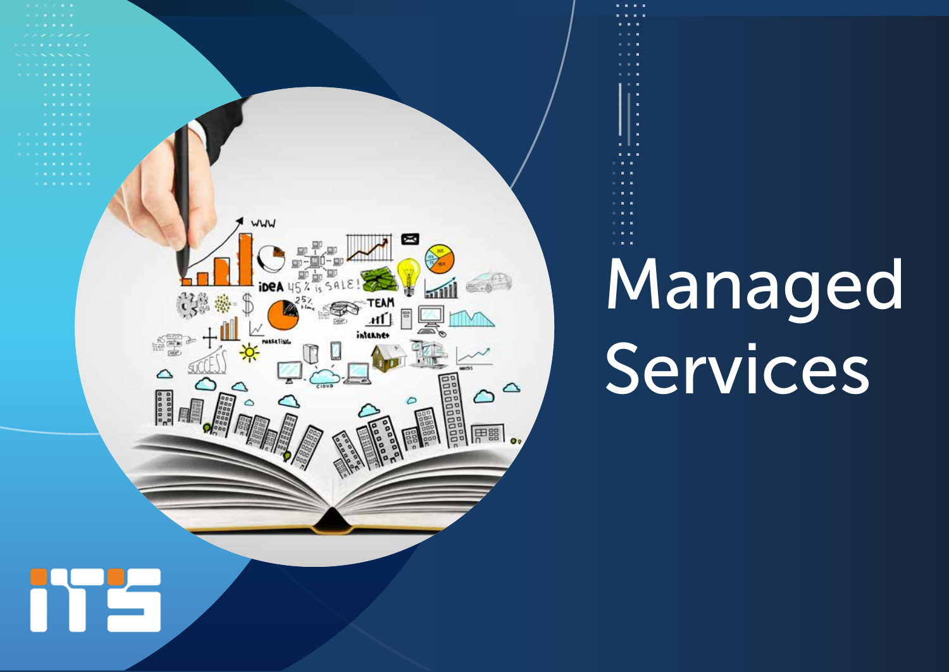

# Managed Services

. . . .

Îв, Îщ,  $\mathbf{u}$ i. a. **Service**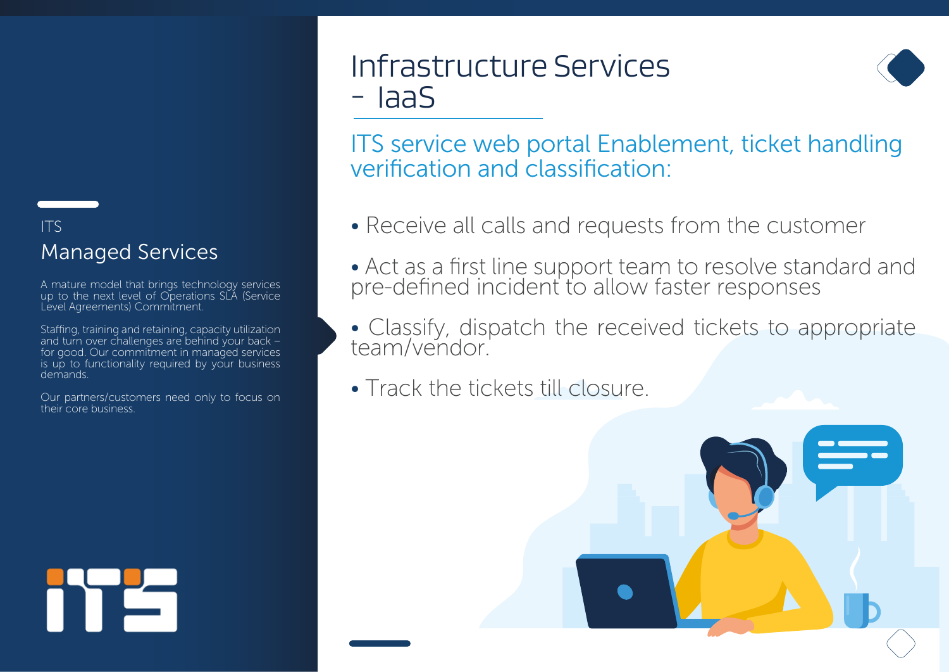#### ITS Managed Services

A mature model that brings technology services up to the next level of Operations SLA (Service Level Agreements) Commitment.

Staffing, training and retaining, capacity utilization and turn over challenges are behind your back – for good. Our commitment in managed services is up to functionality required by your business demands.

Our partners/customers need only to focus on their core business.

team/vendor.

• Track the tickets till closure.



# Infrastructure Services - IaaS



ITS service web portal Enablement, ticket handling verification and classification:

- Receive all calls and requests from the customer
- Act as a first line support team to resolve standard and pre-defined incident to allow faster responses
- Classify, dispatch the received tickets to appropriate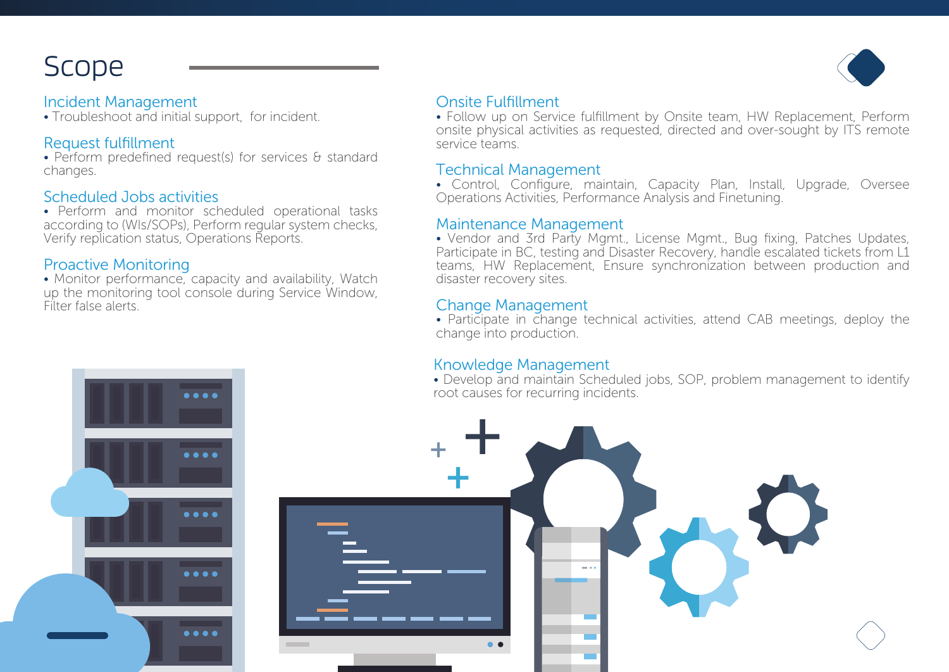# Scope

#### Incident Management

• Troubleshoot and initial support, for incident.

#### Request fulfillment

• Perform predefined request(s) for services & standard changes.

#### Scheduled Jobs activities

• Perform and monitor scheduled operational tasks according to (WIs/SOPs), Perform regular system checks, Verify replication status, Operations Reports.

#### Proactive Monitoring

• Monitor performance, capacity and availability, Watch up the monitoring tool console during Service Window, Filter false alerts.

....



#### Onsite Fulfillment

• Follow up on Service fulfillment by Onsite team, HW Replacement, Perform onsite physical activities as requested, directed and over-sought by ITS remote service teams.

#### Technical Management

• Control, Configure, maintain, Capacity Plan, Install, Upgrade, Oversee Operations Activities, Performance Analysis and Finetuning.

#### Maintenance Management

• Vendor and 3rd Party Mgmt., License Mgmt., Bug fixing, Patches Updates, Participate in BC, testing and Disaster Recovery, handle escalated tickets from L1 teams, HW Replacement, Ensure synchronization between production and disaster recovery sites.

#### Change Management

• Participate in change technical activities, attend CAB meetings, deploy the change into production.

#### Knowledge Management

• Develop and maintain Scheduled jobs, SOP, problem management to identify root causes for recurring incidents.

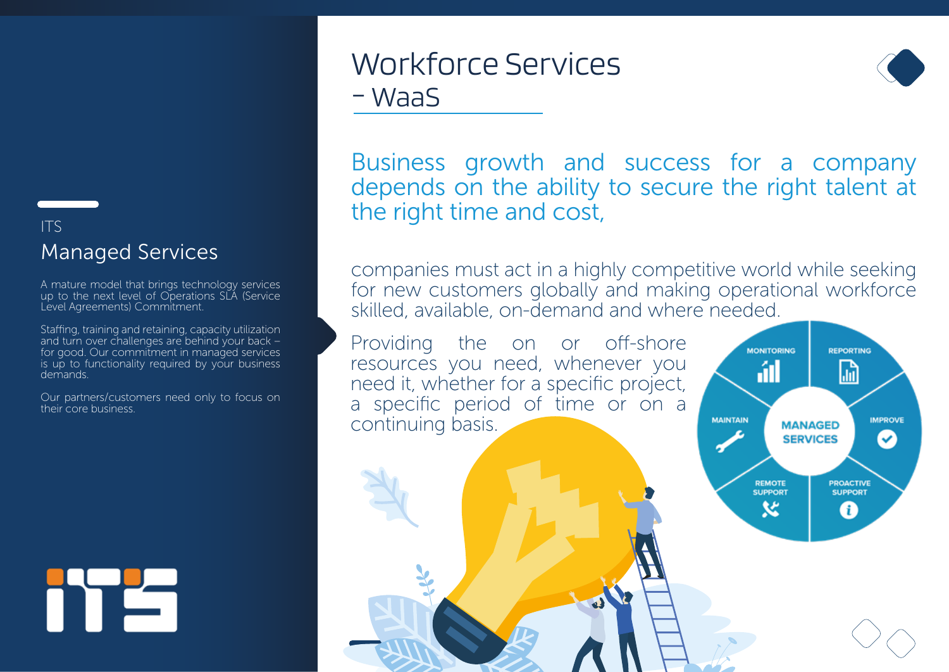### ITS Managed Services

A mature model that brings technology services up to the next level of Operations SLA (Service Level Agreements) Commitment.

Staffing, training and retaining, capacity utilization and turn over challenges are behind your back – for good. Our commitment in managed services is up to functionality required by your business demands.

Our partners/customers need only to focus on their core business.

# Workforce Services - WaaS



Business growth and success for a company depends on the ability to secure the right talent at the right time and cost,

companies must act in a highly competitive world while seeking for new customers globally and making operational workforce skilled, available, on-demand and where needed.

Providing the on or off-shore resources you need, whenever you need it, whether for a specific project, a specific period of time or on a continuing basis.

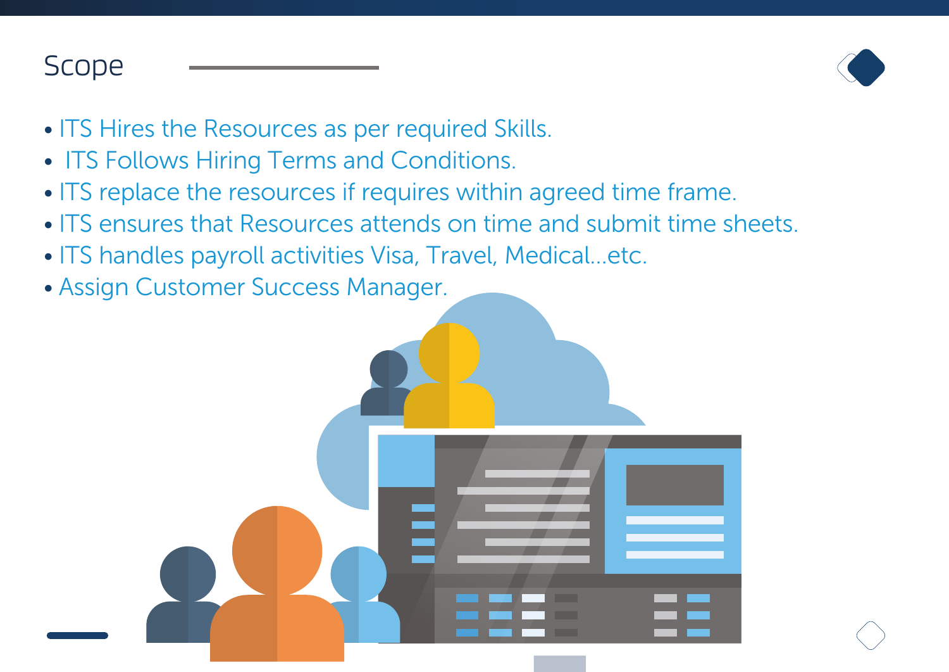# Scope



- ITS Hires the Resources as per required Skills.
- ITS Follows Hiring Terms and Conditions.
- ITS replace the resources if requires within agreed time frame.
- ITS ensures that Resources attends on time and submit time sheets.
- ITS handles payroll activities Visa, Travel, Medical…etc.
- Assign Customer Success Manager.

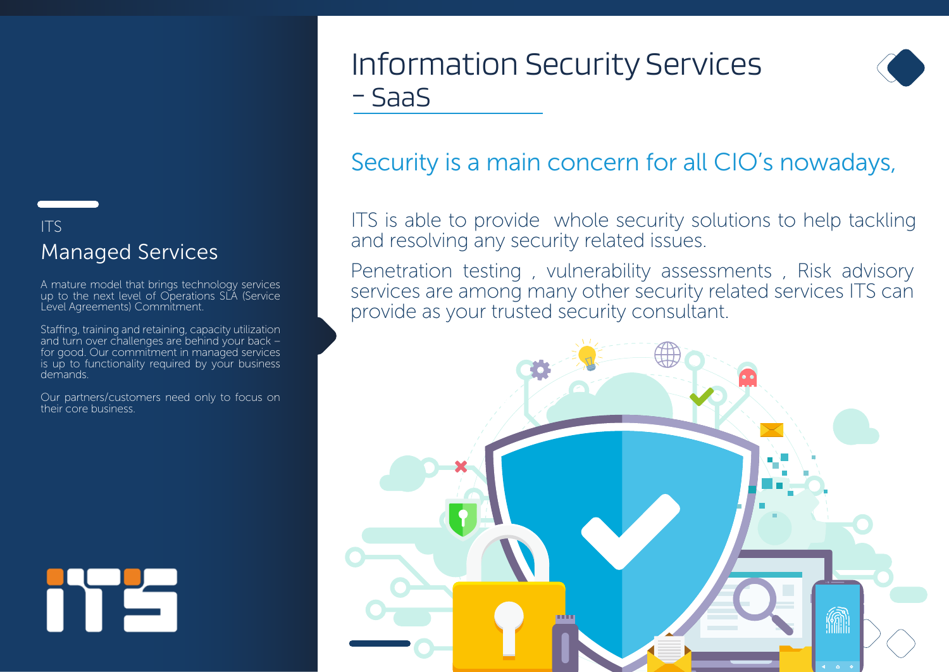# Information Security Services - SaaS



# Security is a main concern for all CIO's nowadays,

ITS is able to provide whole security solutions to help tackling and resolving any security related issues.

Penetration testing , vulnerability assessments , Risk advisory services are among many other security related services ITS can provide as your trusted security consultant.



## ITS Managed Services

A mature model that brings technology services up to the next level of Operations SLA (Service Level Agreements) Commitment.

Staffing, training and retaining, capacity utilization and turn over challenges are behind your back – for good. Our commitment in managed services is up to functionality required by your business demands.

Our partners/customers need only to focus on their core business.

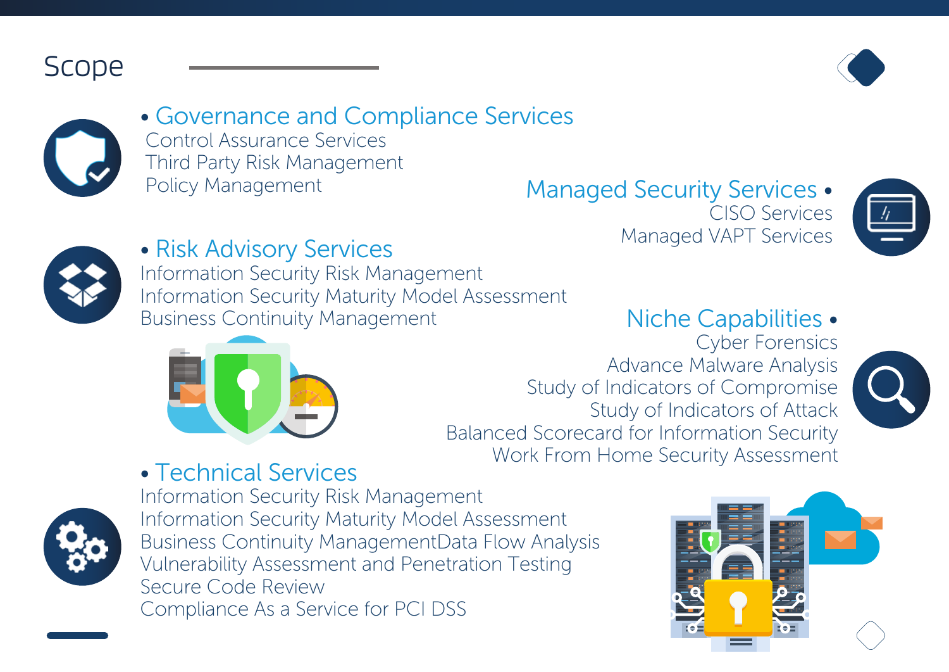





• Governance and Compliance Services Control Assurance Services Third Party Risk Management

Policy Management Managed Security Services . CISO Services Managed VAPT Services





# • Risk Advisory Services

Information Security Risk Management Information Security Maturity Model Assessment Business Continuity Management





Cyber Forensics Advance Malware Analysis Study of Indicators of Compromise Study of Indicators of Attack Balanced Scorecard for Information Security Work From Home Security Assessment



# • Technical Services



Information Security Risk Management Information Security Maturity Model Assessment Business Continuity ManagementData Flow Analysis Vulnerability Assessment and Penetration Testing Secure Code Review Compliance As a Service for PCI DSS

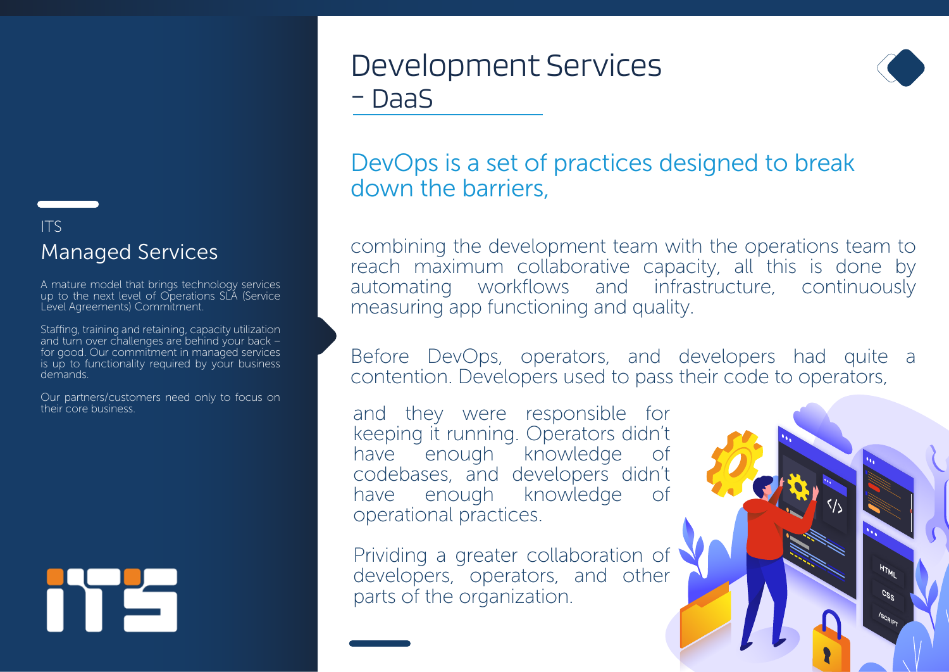# Development Services - DaaS



## DevOps is a set of practices designed to break down the barriers,

combining the development team with the operations team to reach maximum collaborative capacity, all this is done by automating workflows and infrastructure, continuously measuring app functioning and quality.

Before DevOps, operators, and developers had quite a contention. Developers used to pass their code to operators,

and they were responsible for keeping it running. Operators didn't have enough knowledge of codebases, and developers didn't have enough knowledge of operational practices.

Prividing a greater collaboration of developers, operators, and other parts of the organization.



### ITS Managed Services

A mature model that brings technology services up to the next level of Operations SLA (Service Level Agreements) Commitment.

Staffing, training and retaining, capacity utilization and turn over challenges are behind your back – for good. Our commitment in managed services is up to functionality required by your business demands.

Our partners/customers need only to focus on their core business.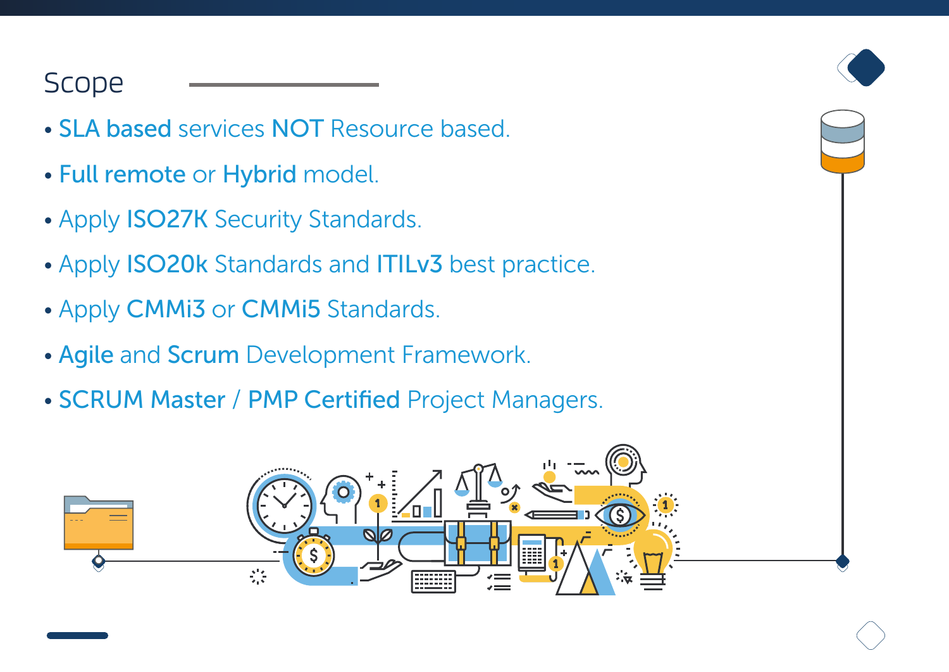# Scope

- SLA based services NOT Resource based.
- Full remote or Hybrid model.
- Apply ISO27K Security Standards.
- Apply ISO20k Standards and ITILv3 best practice.
- Apply CMMi3 or CMMi5 Standards.
- Agile and Scrum Development Framework.
- SCRUM Master / PMP Certified Project Managers.